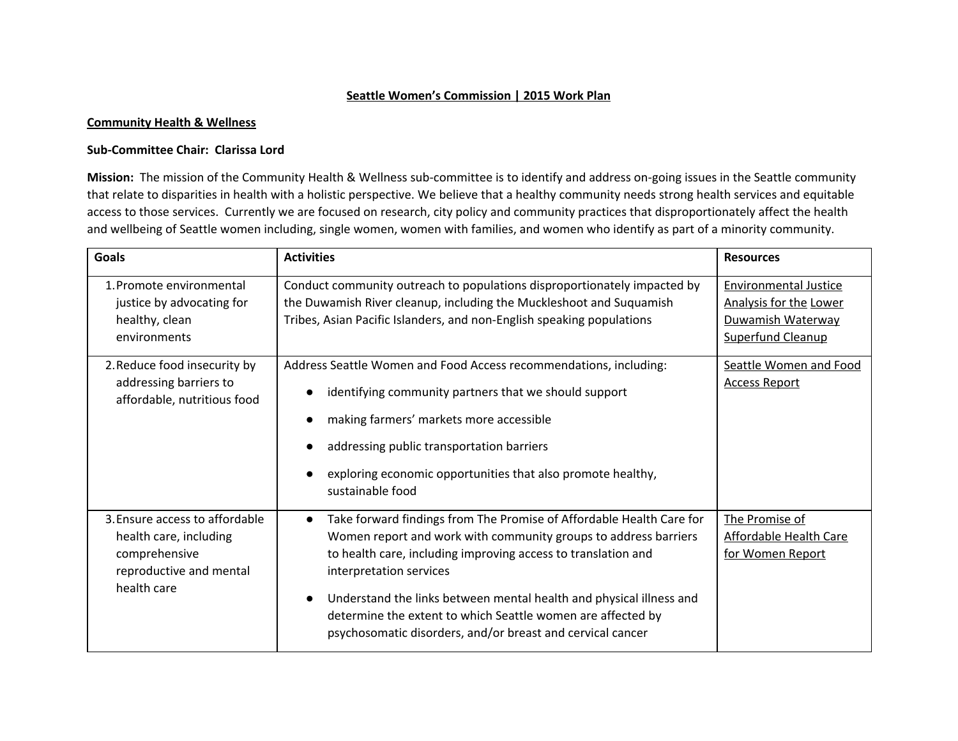#### **Seattle Women's Commission | 2015 Work Plan**

#### **Community Health & Wellness**

#### **Sub-Committee Chair: Clarissa Lord**

**Mission:** The mission of the Community Health & Wellness sub-committee is to identify and address on-going issues in the Seattle community that relate to disparities in health with a holistic perspective. We believe that a healthy community needs strong health services and equitable access to those services. Currently we are focused on research, city policy and community practices that disproportionately affect the health and wellbeing of Seattle women including, single women, women with families, and women who identify as part of a minority community.

| <b>Goals</b>                                                                                                        | <b>Activities</b>                                                                                                                                                                                                                                                                                                                                                                                                                                    | <b>Resources</b>                                                                                        |
|---------------------------------------------------------------------------------------------------------------------|------------------------------------------------------------------------------------------------------------------------------------------------------------------------------------------------------------------------------------------------------------------------------------------------------------------------------------------------------------------------------------------------------------------------------------------------------|---------------------------------------------------------------------------------------------------------|
| 1. Promote environmental<br>justice by advocating for<br>healthy, clean<br>environments                             | Conduct community outreach to populations disproportionately impacted by<br>the Duwamish River cleanup, including the Muckleshoot and Suquamish<br>Tribes, Asian Pacific Islanders, and non-English speaking populations                                                                                                                                                                                                                             | <b>Environmental Justice</b><br>Analysis for the Lower<br>Duwamish Waterway<br><b>Superfund Cleanup</b> |
| 2. Reduce food insecurity by<br>addressing barriers to<br>affordable, nutritious food                               | Address Seattle Women and Food Access recommendations, including:<br>identifying community partners that we should support<br>making farmers' markets more accessible<br>addressing public transportation barriers<br>exploring economic opportunities that also promote healthy,<br>sustainable food                                                                                                                                                | Seattle Women and Food<br><b>Access Report</b>                                                          |
| 3. Ensure access to affordable<br>health care, including<br>comprehensive<br>reproductive and mental<br>health care | Take forward findings from The Promise of Affordable Health Care for<br>$\bullet$<br>Women report and work with community groups to address barriers<br>to health care, including improving access to translation and<br>interpretation services<br>Understand the links between mental health and physical illness and<br>determine the extent to which Seattle women are affected by<br>psychosomatic disorders, and/or breast and cervical cancer | The Promise of<br>Affordable Health Care<br>for Women Report                                            |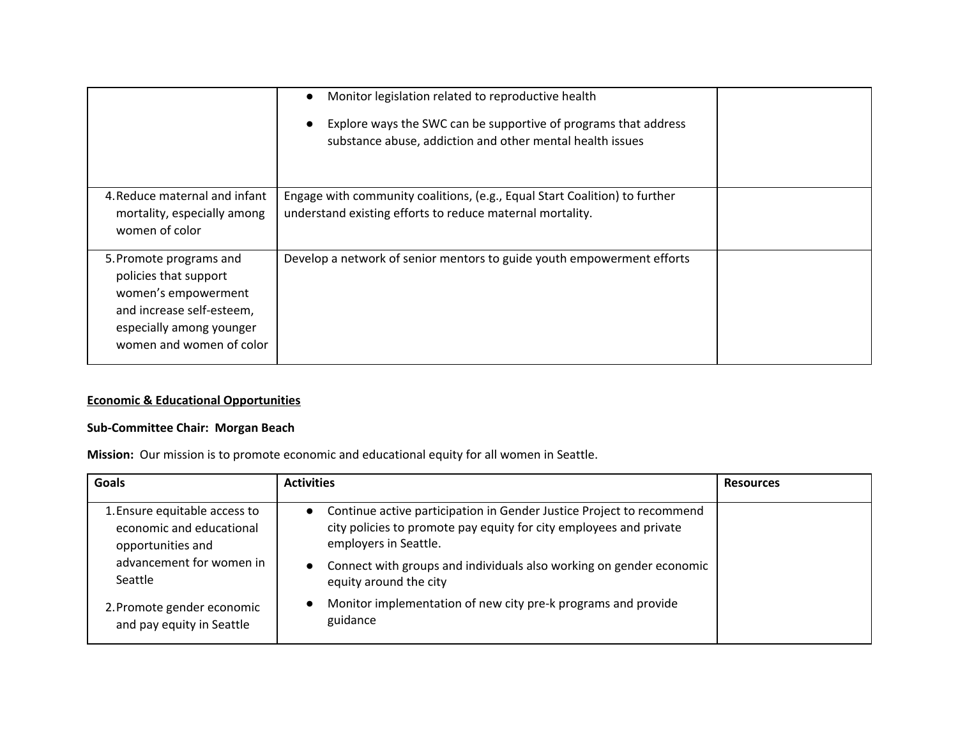|                                                                                                                                                              | Monitor legislation related to reproductive health<br>Explore ways the SWC can be supportive of programs that address<br>$\bullet$<br>substance abuse, addiction and other mental health issues |  |
|--------------------------------------------------------------------------------------------------------------------------------------------------------------|-------------------------------------------------------------------------------------------------------------------------------------------------------------------------------------------------|--|
| 4. Reduce maternal and infant<br>mortality, especially among<br>women of color                                                                               | Engage with community coalitions, (e.g., Equal Start Coalition) to further<br>understand existing efforts to reduce maternal mortality.                                                         |  |
| 5. Promote programs and<br>policies that support<br>women's empowerment<br>and increase self-esteem,<br>especially among younger<br>women and women of color | Develop a network of senior mentors to guide youth empowerment efforts                                                                                                                          |  |

## **Economic & Educational Opportunities**

# **Sub-Committee Chair: Morgan Beach**

**Mission:** Our mission is to promote economic and educational equity for all women in Seattle.

| <b>Goals</b>                                                                   | <b>Activities</b>                                                                                                                                                     | <b>Resources</b> |
|--------------------------------------------------------------------------------|-----------------------------------------------------------------------------------------------------------------------------------------------------------------------|------------------|
| 1. Ensure equitable access to<br>economic and educational<br>opportunities and | • Continue active participation in Gender Justice Project to recommend<br>city policies to promote pay equity for city employees and private<br>employers in Seattle. |                  |
| advancement for women in<br>Seattle                                            | Connect with groups and individuals also working on gender economic<br>$\bullet$<br>equity around the city                                                            |                  |
| 2. Promote gender economic<br>and pay equity in Seattle                        | Monitor implementation of new city pre-k programs and provide<br>$\bullet$<br>guidance                                                                                |                  |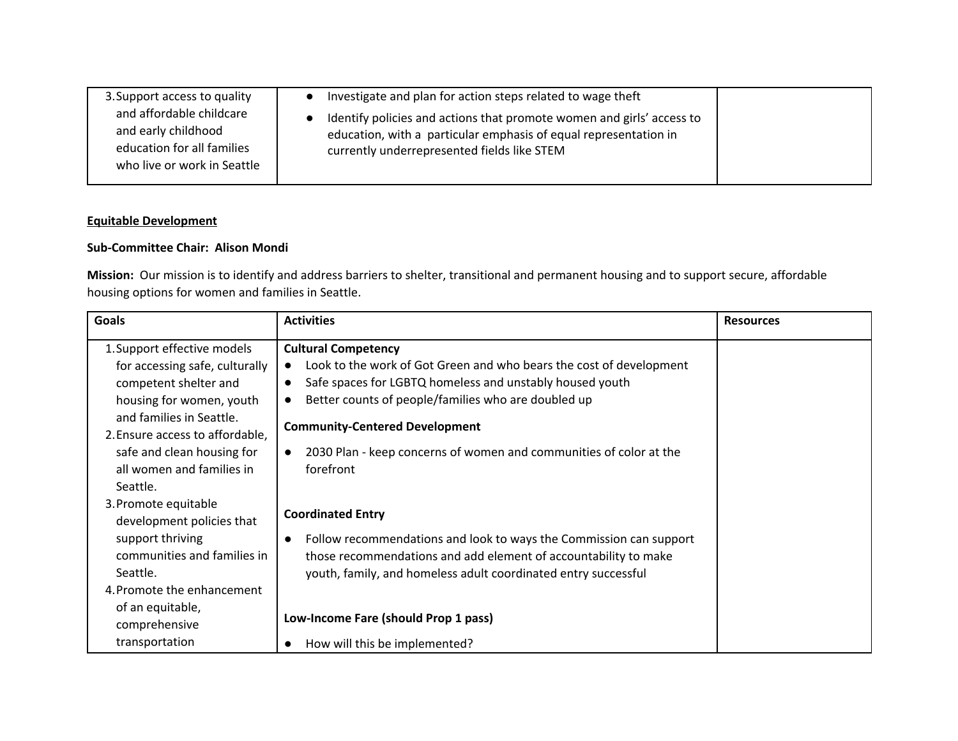| 3. Support access to quality                                                                                 | Investigate and plan for action steps related to wage theft                                                                                                                              |  |
|--------------------------------------------------------------------------------------------------------------|------------------------------------------------------------------------------------------------------------------------------------------------------------------------------------------|--|
| and affordable childcare<br>and early childhood<br>education for all families<br>who live or work in Seattle | Identify policies and actions that promote women and girls' access to<br>education, with a particular emphasis of equal representation in<br>currently underrepresented fields like STEM |  |

### **Equitable Development**

### **Sub-Committee Chair: Alison Mondi**

**Mission:** Our mission is to identify and address barriers to shelter, transitional and permanent housing and to support secure, affordable housing options for women and families in Seattle.

| <b>Goals</b>                                                                                                                                   | <b>Activities</b>                                                                                                                                                                                                                   | <b>Resources</b> |
|------------------------------------------------------------------------------------------------------------------------------------------------|-------------------------------------------------------------------------------------------------------------------------------------------------------------------------------------------------------------------------------------|------------------|
| 1. Support effective models<br>for accessing safe, culturally<br>competent shelter and<br>housing for women, youth                             | <b>Cultural Competency</b><br>Look to the work of Got Green and who bears the cost of development<br>Safe spaces for LGBTQ homeless and unstably housed youth<br>Better counts of people/families who are doubled up                |                  |
| and families in Seattle.<br>2. Ensure access to affordable,<br>safe and clean housing for<br>all women and families in<br>Seattle.             | <b>Community-Centered Development</b><br>2030 Plan - keep concerns of women and communities of color at the<br>forefront                                                                                                            |                  |
| 3. Promote equitable<br>development policies that<br>support thriving<br>communities and families in<br>Seattle.<br>4. Promote the enhancement | <b>Coordinated Entry</b><br>Follow recommendations and look to ways the Commission can support<br>those recommendations and add element of accountability to make<br>youth, family, and homeless adult coordinated entry successful |                  |
| of an equitable,<br>comprehensive<br>transportation                                                                                            | Low-Income Fare (should Prop 1 pass)<br>How will this be implemented?                                                                                                                                                               |                  |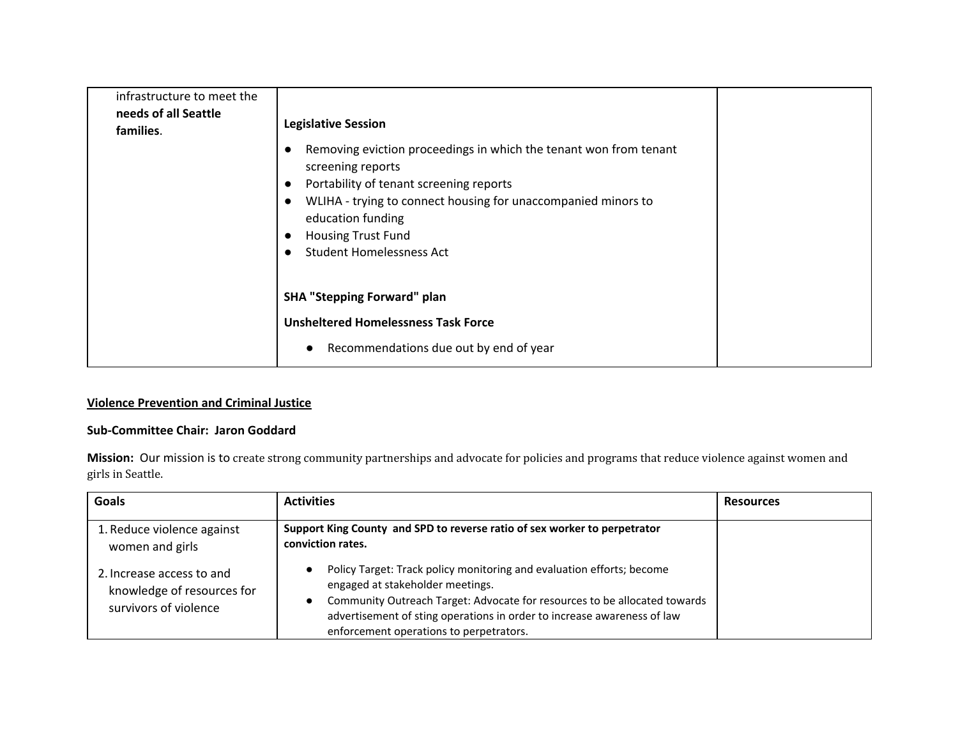| infrastructure to meet the<br>needs of all Seattle<br>families. | <b>Legislative Session</b><br>Removing eviction proceedings in which the tenant won from tenant<br>screening reports<br>Portability of tenant screening reports<br>WLIHA - trying to connect housing for unaccompanied minors to<br>education funding<br><b>Housing Trust Fund</b><br><b>Student Homelessness Act</b> |  |
|-----------------------------------------------------------------|-----------------------------------------------------------------------------------------------------------------------------------------------------------------------------------------------------------------------------------------------------------------------------------------------------------------------|--|
|                                                                 | <b>SHA "Stepping Forward" plan</b><br><b>Unsheltered Homelessness Task Force</b><br>Recommendations due out by end of year                                                                                                                                                                                            |  |

# **Violence Prevention and Criminal Justice**

## **Sub-Committee Chair: Jaron Goddard**

**Mission:** Our mission is to create strong community partnerships and advocate for policies and programs that reduce violence against women and girls in Seattle.

| Goals                                                                            | <b>Activities</b>                                                                                                                                                                                                                                                                                            | <b>Resources</b> |
|----------------------------------------------------------------------------------|--------------------------------------------------------------------------------------------------------------------------------------------------------------------------------------------------------------------------------------------------------------------------------------------------------------|------------------|
| 1. Reduce violence against<br>women and girls                                    | Support King County and SPD to reverse ratio of sex worker to perpetrator<br>conviction rates.                                                                                                                                                                                                               |                  |
| 2. Increase access to and<br>knowledge of resources for<br>survivors of violence | Policy Target: Track policy monitoring and evaluation efforts; become<br>engaged at stakeholder meetings.<br>Community Outreach Target: Advocate for resources to be allocated towards<br>advertisement of sting operations in order to increase awareness of law<br>enforcement operations to perpetrators. |                  |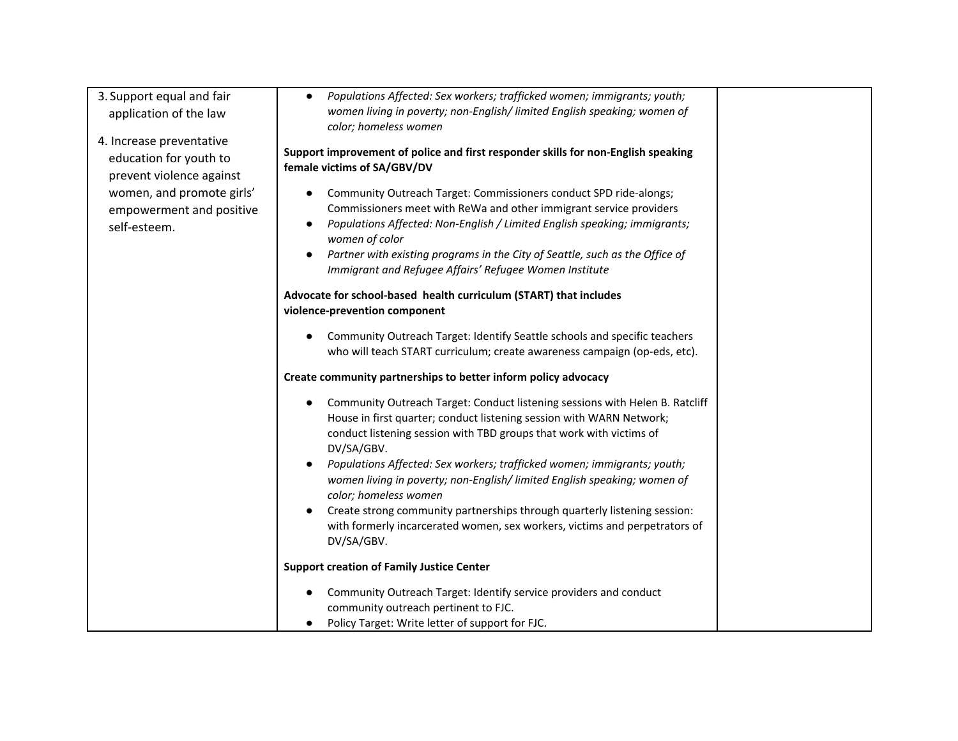| 3. Support equal and fair<br>application of the law<br>4. Increase preventative<br>education for youth to<br>prevent violence against<br>women, and promote girls'<br>empowerment and positive<br>self-esteem. | Populations Affected: Sex workers; trafficked women; immigrants; youth;<br>$\bullet$<br>women living in poverty; non-English/ limited English speaking; women of<br>color; homeless women<br>Support improvement of police and first responder skills for non-English speaking<br>female victims of SA/GBV/DV<br>Community Outreach Target: Commissioners conduct SPD ride-alongs;<br>$\bullet$<br>Commissioners meet with ReWa and other immigrant service providers<br>Populations Affected: Non-English / Limited English speaking; immigrants;<br>$\bullet$<br>women of color                                            |  |
|----------------------------------------------------------------------------------------------------------------------------------------------------------------------------------------------------------------|------------------------------------------------------------------------------------------------------------------------------------------------------------------------------------------------------------------------------------------------------------------------------------------------------------------------------------------------------------------------------------------------------------------------------------------------------------------------------------------------------------------------------------------------------------------------------------------------------------------------------|--|
|                                                                                                                                                                                                                | Partner with existing programs in the City of Seattle, such as the Office of<br>$\bullet$<br>Immigrant and Refugee Affairs' Refugee Women Institute                                                                                                                                                                                                                                                                                                                                                                                                                                                                          |  |
|                                                                                                                                                                                                                | Advocate for school-based health curriculum (START) that includes<br>violence-prevention component                                                                                                                                                                                                                                                                                                                                                                                                                                                                                                                           |  |
|                                                                                                                                                                                                                | Community Outreach Target: Identify Seattle schools and specific teachers<br>who will teach START curriculum; create awareness campaign (op-eds, etc).                                                                                                                                                                                                                                                                                                                                                                                                                                                                       |  |
|                                                                                                                                                                                                                | Create community partnerships to better inform policy advocacy                                                                                                                                                                                                                                                                                                                                                                                                                                                                                                                                                               |  |
|                                                                                                                                                                                                                | Community Outreach Target: Conduct listening sessions with Helen B. Ratcliff<br>House in first quarter; conduct listening session with WARN Network;<br>conduct listening session with TBD groups that work with victims of<br>DV/SA/GBV.<br>Populations Affected: Sex workers; trafficked women; immigrants; youth;<br>$\bullet$<br>women living in poverty; non-English/ limited English speaking; women of<br>color; homeless women<br>Create strong community partnerships through quarterly listening session:<br>$\bullet$<br>with formerly incarcerated women, sex workers, victims and perpetrators of<br>DV/SA/GBV. |  |
|                                                                                                                                                                                                                | <b>Support creation of Family Justice Center</b>                                                                                                                                                                                                                                                                                                                                                                                                                                                                                                                                                                             |  |
|                                                                                                                                                                                                                | Community Outreach Target: Identify service providers and conduct<br>$\bullet$<br>community outreach pertinent to FJC.<br>Policy Target: Write letter of support for FJC.                                                                                                                                                                                                                                                                                                                                                                                                                                                    |  |